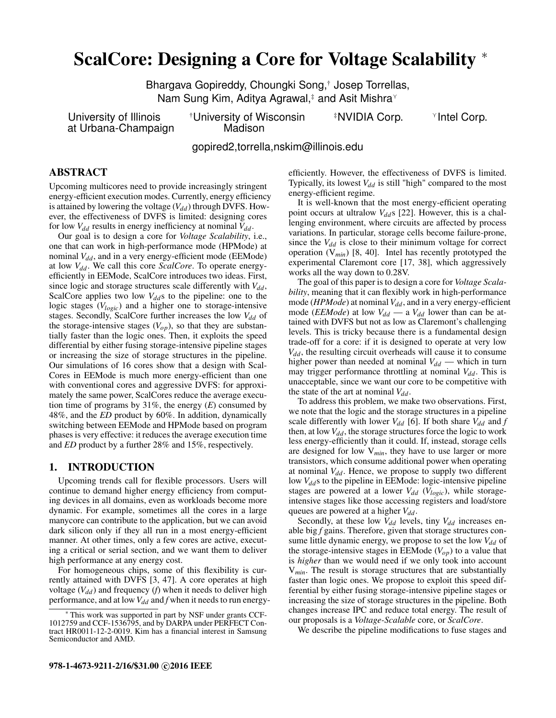# ScalCore: Designing a Core for Voltage Scalability <sup>∗</sup>

Bhargava Gopireddy, Choungki Song,† Josep Torrellas, Nam Sung Kim, Aditya Agrawal, $\stackrel{\ast}{\ast}$  and Asit Mishra

at Urbana-Champaign Madison

University of Illinois  $\qquad$  †University of Wisconsin  $\qquad$   $\qquad$  #NVIDIA Corp.  $\qquad$   $\qquad$  Yintel Corp.

gopired2,torrella,nskim@illinois.edu

# ABSTRACT

Upcoming multicores need to provide increasingly stringent energy-efficient execution modes. Currently, energy efficiency is attained by lowering the voltage (*Vdd*) through DVFS. However, the effectiveness of DVFS is limited: designing cores for low  $V_{dd}$  results in energy inefficiency at nominal  $V_{dd}$ .

Our goal is to design a core for *Voltage Scalability*, i.e., one that can work in high-performance mode (HPMode) at nominal *Vdd*, and in a very energy-efficient mode (EEMode) at low *Vdd*. We call this core *ScalCore*. To operate energyefficiently in EEMode, ScalCore introduces two ideas. First, since logic and storage structures scale differently with *Vdd*, ScalCore applies two low  $V_{dd}$ s to the pipeline: one to the logic stages (*Vlogic*) and a higher one to storage-intensive stages. Secondly, ScalCore further increases the low *Vdd* of the storage-intensive stages  $(V_{op})$ , so that they are substantially faster than the logic ones. Then, it exploits the speed differential by either fusing storage-intensive pipeline stages or increasing the size of storage structures in the pipeline. Our simulations of 16 cores show that a design with Scal-Cores in EEMode is much more energy-efficient than one with conventional cores and aggressive DVFS: for approximately the same power, ScalCores reduce the average execution time of programs by 31%, the energy (*E*) consumed by 48%, and the *ED* product by 60%. In addition, dynamically switching between EEMode and HPMode based on program phases is very effective: it reduces the average execution time and *ED* product by a further 28% and 15%, respectively.

## 1. INTRODUCTION

Upcoming trends call for flexible processors. Users will continue to demand higher energy efficiency from computing devices in all domains, even as workloads become more dynamic. For example, sometimes all the cores in a large manycore can contribute to the application, but we can avoid dark silicon only if they all run in a most energy-efficient manner. At other times, only a few cores are active, executing a critical or serial section, and we want them to deliver high performance at any energy cost.

For homogeneous chips, some of this flexibility is currently attained with DVFS [3, 47]. A core operates at high voltage  $(V_{dd})$  and frequency  $(f)$  when it needs to deliver high performance, and at low  $V_{dd}$  and *f* when it needs to run energyefficiently. However, the effectiveness of DVFS is limited. Typically, its lowest *Vdd* is still "high" compared to the most energy-efficient regime.

It is well-known that the most energy-efficient operating point occurs at ultralow  $V_{dd}$ s [22]. However, this is a challenging environment, where circuits are affected by process variations. In particular, storage cells become failure-prone, since the  $V_{dd}$  is close to their minimum voltage for correct operation (V*min*) [8, 40]. Intel has recently prototyped the experimental Claremont core [17, 38], which aggressively works all the way down to 0.28V.

The goal of this paper is to design a core for *Voltage Scalability*, meaning that it can flexibly work in high-performance mode (*HPMode*) at nominal*Vdd*, and in a very energy-efficient mode (*EEMode*) at low *Vdd* — a *Vdd* lower than can be attained with DVFS but not as low as Claremont's challenging levels. This is tricky because there is a fundamental design trade-off for a core: if it is designed to operate at very low *Vdd*, the resulting circuit overheads will cause it to consume higher power than needed at nominal  $V_{dd}$  — which in turn may trigger performance throttling at nominal *Vdd*. This is unacceptable, since we want our core to be competitive with the state of the art at nominal  $V_{dd}$ .

To address this problem, we make two observations. First, we note that the logic and the storage structures in a pipeline scale differently with lower  $V_{dd}$  [6]. If both share  $V_{dd}$  and  $f$ then, at low  $V_{dd}$ , the storage structures force the logic to work less energy-efficiently than it could. If, instead, storage cells are designed for low V*min*, they have to use larger or more transistors, which consume additional power when operating at nominal  $V_{dd}$ . Hence, we propose to supply two different low *V*<sup>*das*</sup> to the pipeline in EEMode: logic-intensive pipeline stages are powered at a lower *Vdd* (*Vlogic*), while storageintensive stages like those accessing registers and load/store queues are powered at a higher *Vdd*.

Secondly, at these low  $V_{dd}$  levels, tiny  $V_{dd}$  increases enable big *f* gains. Therefore, given that storage structures consume little dynamic energy, we propose to set the low *Vdd* of the storage-intensive stages in EEMode  $(V_{op})$  to a value that is *higher* than we would need if we only took into account V*min*. The result is storage structures that are substantially faster than logic ones. We propose to exploit this speed differential by either fusing storage-intensive pipeline stages or increasing the size of storage structures in the pipeline. Both changes increase IPC and reduce total energy. The result of our proposals is a *Voltage-Scalable* core, or *ScalCore*.

We describe the pipeline modifications to fuse stages and

<sup>∗</sup> This work was supported in part by NSF under grants CCF-1012759 and CCF-1536795, and by DARPA under PERFECT Contract HR0011-12-2-0019. Kim has a financial interest in Samsung Semiconductor and AMD.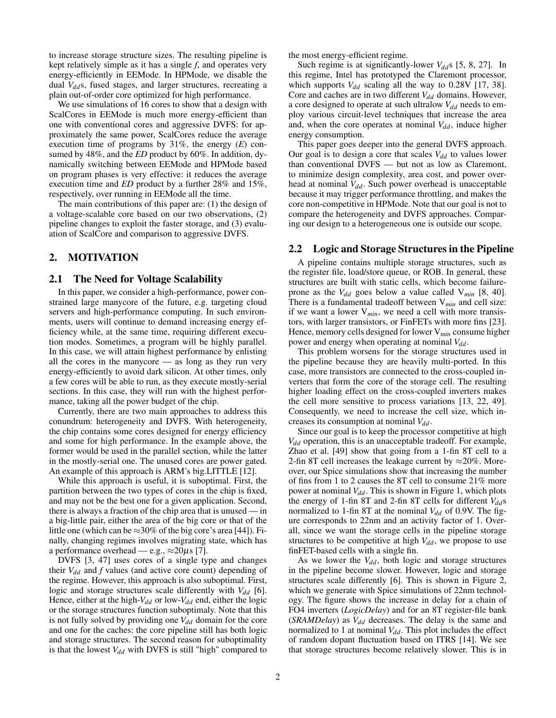to increase storage structure sizes. The resulting pipeline is kept relatively simple as it has a single *f*, and operates very energy-efficiently in EEMode. In HPMode, we disable the dual *V*<sup>*dds*</sup>, fused stages, and larger structures, recreating a plain out-of-order core optimized for high performance.

We use simulations of 16 cores to show that a design with ScalCores in EEMode is much more energy-efficient than one with conventional cores and aggressive DVFS: for approximately the same power, ScalCores reduce the average execution time of programs by 31%, the energy (*E*) consumed by 48%, and the *ED* product by 60%. In addition, dynamically switching between EEMode and HPMode based on program phases is very effective: it reduces the average execution time and *ED* product by a further 28% and 15%, respectively, over running in EEMode all the time.

The main contributions of this paper are: (1) the design of a voltage-scalable core based on our two observations, (2) pipeline changes to exploit the faster storage, and (3) evaluation of ScalCore and comparison to aggressive DVFS.

# 2. MOTIVATION

# 2.1 The Need for Voltage Scalability

In this paper, we consider a high-performance, power constrained large manycore of the future, e.g. targeting cloud servers and high-performance computing. In such environments, users will continue to demand increasing energy efficiency while, at the same time, requiring different execution modes. Sometimes, a program will be highly parallel. In this case, we will attain highest performance by enlisting all the cores in the manycore — as long as they run very energy-efficiently to avoid dark silicon. At other times, only a few cores will be able to run, as they execute mostly-serial sections. In this case, they will run with the highest performance, taking all the power budget of the chip.

Currently, there are two main approaches to address this conundrum: heterogeneity and DVFS. With heterogeneity, the chip contains some cores designed for energy efficiency and some for high performance. In the example above, the former would be used in the parallel section, while the latter in the mostly-serial one. The unused cores are power gated. An example of this approach is ARM's big.LITTLE [12].

While this approach is useful, it is suboptimal. First, the partition between the two types of cores in the chip is fixed, and may not be the best one for a given application. Second, there is always a fraction of the chip area that is unused — in a big-little pair, either the area of the big core or that of the little one (which can be  $\approx 30\%$  of the big core's area [44]). Finally, changing regimes involves migrating state, which has a performance overhead — e.g.,  $\approx 20 \mu s$  [7].

DVFS [3, 47] uses cores of a single type and changes their  $V_{dd}$  and  $f$  values (and active core count) depending of the regime. However, this approach is also suboptimal. First, logic and storage structures scale differently with *Vdd* [6]. Hence, either at the high- $V_{dd}$  or low- $V_{dd}$  end, either the logic or the storage structures function suboptimaly. Note that this is not fully solved by providing one *Vdd* domain for the core and one for the caches: the core pipeline still has both logic and storage structures. The second reason for suboptimality is that the lowest *Vdd* with DVFS is still "high" compared to the most energy-efficient regime.

Such regime is at significantly-lower  $V_{dd}$ s [5, 8, 27]. In this regime, Intel has prototyped the Claremont processor, which supports  $V_{dd}$  scaling all the way to 0.28V [17, 38]. Core and caches are in two different  $V_{dd}$  domains. However, a core designed to operate at such ultralow *Vdd* needs to employ various circuit-level techniques that increase the area and, when the core operates at nominal  $V_{dd}$ , induce higher energy consumption.

This paper goes deeper into the general DVFS approach. Our goal is to design a core that scales  $V_{dd}$  to values lower than conventional DVFS — but not as low as Claremont, to minimize design complexity, area cost, and power overhead at nominal *Vdd*. Such power overhead is unacceptable because it may trigger performance throttling, and makes the core non-competitive in HPMode. Note that our goal is not to compare the heterogeneity and DVFS approaches. Comparing our design to a heterogeneous one is outside our scope.

## 2.2 Logic and Storage Structures in the Pipeline

A pipeline contains multiple storage structures, such as the register file, load/store queue, or ROB. In general, these structures are built with static cells, which become failureprone as the *Vdd* goes below a value called V*min* [8, 40]. There is a fundamental tradeoff between V*min* and cell size: if we want a lower V*min*, we need a cell with more transistors, with larger transistors, or FinFETs with more fins [23]. Hence, memory cells designed for lower V*min* consume higher power and energy when operating at nominal *Vdd*.

This problem worsens for the storage structures used in the pipeline because they are heavily multi-ported. In this case, more transistors are connected to the cross-coupled inverters that form the core of the storage cell. The resulting higher loading effect on the cross-coupled inverters makes the cell more sensitive to process variations [13, 22, 49]. Consequently, we need to increase the cell size, which increases its consumption at nominal *Vdd*.

Since our goal is to keep the processor competitive at high *Vdd* operation, this is an unacceptable tradeoff. For example, Zhao et al. [49] show that going from a 1-fin 8T cell to a 2-fin 8T cell increases the leakage current by  $\approx$ 20%. Moreover, our Spice simulations show that increasing the number of fins from 1 to 2 causes the 8T cell to consume 21% more power at nominal *Vdd*. This is shown in Figure 1, which plots the energy of 1-fin 8T and 2-fin 8T cells for different *Vdd*s normalized to 1-fin 8T at the nominal *Vdd* of 0.9V. The figure corresponds to 22nm and an activity factor of 1. Overall, since we want the storage cells in the pipeline storage structures to be competitive at high  $V_{dd}$ , we propose to use finFET-based cells with a single fin.

As we lower the  $V_{dd}$ , both logic and storage structures in the pipeline become slower. However, logic and storage structures scale differently [6]. This is shown in Figure 2, which we generate with Spice simulations of 22nm technology. The figure shows the increase in delay for a chain of FO4 inverters (*LogicDelay*) and for an 8T register-file bank (*SRAMDelay*) as *Vdd* decreases. The delay is the same and normalized to 1 at nominal *Vdd*. This plot includes the effect of random dopant fluctuation based on ITRS [14]. We see that storage structures become relatively slower. This is in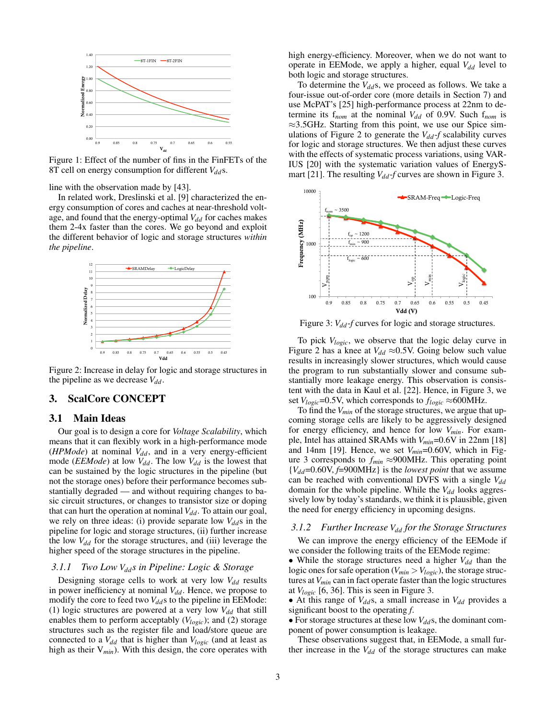

Figure 1: Effect of the number of fins in the FinFETs of the 8T cell on energy consumption for different *Vdd*s.

line with the observation made by [43].

In related work, Dreslinski et al. [9] characterized the energy consumption of cores and caches at near-threshold voltage, and found that the energy-optimal *Vdd* for caches makes them 2-4x faster than the cores. We go beyond and exploit the different behavior of logic and storage structures *within the pipeline*.



Figure 2: Increase in delay for logic and storage structures in the pipeline as we decrease *Vdd*.

# 3. ScalCore CONCEPT

# 3.1 Main Ideas

Our goal is to design a core for *Voltage Scalability*, which means that it can flexibly work in a high-performance mode  $(HPMode)$  at nominal  $V_{dd}$ , and in a very energy-efficient mode (*EEMode*) at low *Vdd*. The low *Vdd* is the lowest that can be sustained by the logic structures in the pipeline (but not the storage ones) before their performance becomes substantially degraded — and without requiring changes to basic circuit structures, or changes to transistor size or doping that can hurt the operation at nominal *Vdd*. To attain our goal, we rely on three ideas: (i) provide separate low  $V_{dd}$ s in the pipeline for logic and storage structures, (ii) further increase the low  $V_{dd}$  for the storage structures, and (iii) leverage the higher speed of the storage structures in the pipeline.

## *3.1.1 Two Low Vdds in Pipeline: Logic & Storage*

Designing storage cells to work at very low *Vdd* results in power inefficiency at nominal *Vdd*. Hence, we propose to modify the core to feed two  $V_{dd}$ s to the pipeline in EEMode: (1) logic structures are powered at a very low  $V_{dd}$  that still enables them to perform acceptably  $(V_{logic})$ ; and (2) storage structures such as the register file and load/store queue are connected to a  $V_{dd}$  that is higher than  $V_{logic}$  (and at least as high as their V*min*). With this design, the core operates with high energy-efficiency. Moreover, when we do not want to operate in EEMode, we apply a higher, equal *Vdd* level to both logic and storage structures.

To determine the  $V_{dd}$ s, we proceed as follows. We take a four-issue out-of-order core (more details in Section 7) and use McPAT's [25] high-performance process at 22nm to determine its f*nom* at the nominal *Vdd* of 0.9V. Such f*nom* is ≈3.5GHz. Starting from this point, we use our Spice simulations of Figure 2 to generate the  $V_{dd}$ -*f* scalability curves for logic and storage structures. We then adjust these curves with the effects of systematic process variations, using VAR-IUS [20] with the systematic variation values of EnergySmart [21]. The resulting  $V_{dd}$ -f curves are shown in Figure 3.



Figure 3: *Vdd*-*f* curves for logic and storage structures.

To pick *Vlogic*, we observe that the logic delay curve in Figure 2 has a knee at  $V_{dd} \approx 0.5V$ . Going below such value results in increasingly slower structures, which would cause the program to run substantially slower and consume substantially more leakage energy. This observation is consistent with the data in Kaul et al. [22]. Hence, in Figure 3, we set  $V_{logic}$ =0.5V, which corresponds to  $f_{logic} \approx 600 MHz$ .

To find the *Vmin* of the storage structures, we argue that upcoming storage cells are likely to be aggressively designed for energy efficiency, and hence for low *Vmin*. For example, Intel has attained SRAMs with *Vmin*=0.6V in 22nm [18] and 14nm [19]. Hence, we set *Vmin*=0.60V, which in Figure 3 corresponds to *fmin* ≈900MHz. This operating point  ${V_{dd}} = 0.60V, f = 900MHz$  is the *lowest point* that we assume can be reached with conventional DVFS with a single *Vdd* domain for the whole pipeline. While the *Vdd* looks aggressively low by today's standards, we think it is plausible, given the need for energy efficiency in upcoming designs.

## *3.1.2 Further Increase Vdd for the Storage Structures*

We can improve the energy efficiency of the EEMode if we consider the following traits of the EEMode regime:

• While the storage structures need a higher *Vdd* than the logic ones for safe operation ( $V_{min} > V_{logic}$ ), the storage structures at*Vmin* can in fact operate faster than the logic structures at *Vlogic* [6, 36]. This is seen in Figure 3.

• At this range of  $V_{dd}$ s, a small increase in  $V_{dd}$  provides a significant boost to the operating *f*.

• For storage structures at these low  $V_{dd}$ s, the dominant component of power consumption is leakage.

These observations suggest that, in EEMode, a small further increase in the  $V_{dd}$  of the storage structures can make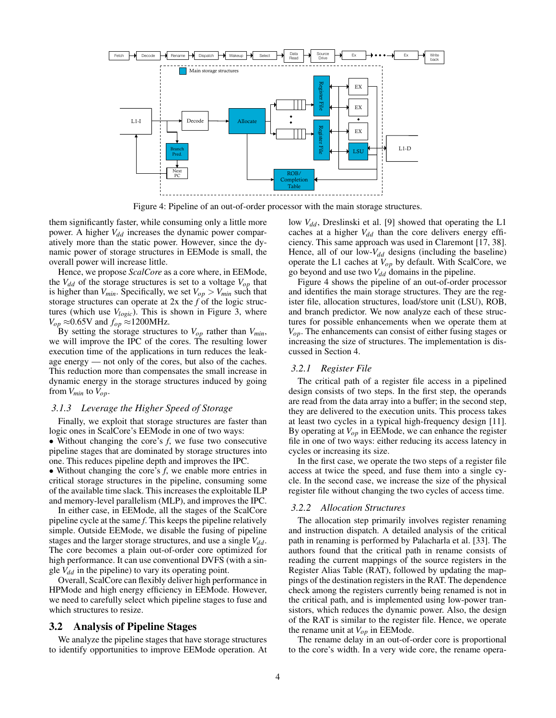

Figure 4: Pipeline of an out-of-order processor with the main storage structures.

them significantly faster, while consuming only a little more power. A higher  $V_{dd}$  increases the dynamic power comparatively more than the static power. However, since the dynamic power of storage structures in EEMode is small, the overall power will increase little.

Hence, we propose *ScalCore* as a core where, in EEMode, the  $V_{dd}$  of the storage structures is set to a voltage  $V_{op}$  that is higher than  $V_{min}$ . Specifically, we set  $V_{op} > V_{min}$  such that storage structures can operate at 2x the *f* of the logic structures (which use *Vlogic*). This is shown in Figure 3, where *V*<sup>*op*</sup> ≈0.65V and *f*<sup>*op*</sup> ≈1200MHz.

By setting the storage structures to  $V_{op}$  rather than  $V_{min}$ , we will improve the IPC of the cores. The resulting lower execution time of the applications in turn reduces the leakage energy — not only of the cores, but also of the caches. This reduction more than compensates the small increase in dynamic energy in the storage structures induced by going from  $V_{min}$  to  $V_{op}$ .

## *3.1.3 Leverage the Higher Speed of Storage*

Finally, we exploit that storage structures are faster than logic ones in ScalCore's EEMode in one of two ways:

• Without changing the core's *f*, we fuse two consecutive pipeline stages that are dominated by storage structures into one. This reduces pipeline depth and improves the IPC.

• Without changing the core's *f*, we enable more entries in critical storage structures in the pipeline, consuming some of the available time slack. This increases the exploitable ILP and memory-level parallelism (MLP), and improves the IPC.

In either case, in EEMode, all the stages of the ScalCore pipeline cycle at the same *f*. This keeps the pipeline relatively simple. Outside EEMode, we disable the fusing of pipeline stages and the larger storage structures, and use a single *Vdd*. The core becomes a plain out-of-order core optimized for high performance. It can use conventional DVFS (with a single  $V_{dd}$  in the pipeline) to vary its operating point.

Overall, ScalCore can flexibly deliver high performance in HPMode and high energy efficiency in EEMode. However, we need to carefully select which pipeline stages to fuse and which structures to resize.

## 3.2 Analysis of Pipeline Stages

We analyze the pipeline stages that have storage structures to identify opportunities to improve EEMode operation. At low *Vdd*, Dreslinski et al. [9] showed that operating the L1 caches at a higher *Vdd* than the core delivers energy efficiency. This same approach was used in Claremont [17, 38]. Hence, all of our low- $V_{dd}$  designs (including the baseline) operate the L1 caches at *Vop* by default. With ScalCore, we go beyond and use two *Vdd* domains in the pipeline.

Figure 4 shows the pipeline of an out-of-order processor and identifies the main storage structures. They are the register file, allocation structures, load/store unit (LSU), ROB, and branch predictor. We now analyze each of these structures for possible enhancements when we operate them at *Vop*. The enhancements can consist of either fusing stages or increasing the size of structures. The implementation is discussed in Section 4.

#### *3.2.1 Register File*

The critical path of a register file access in a pipelined design consists of two steps. In the first step, the operands are read from the data array into a buffer; in the second step, they are delivered to the execution units. This process takes at least two cycles in a typical high-frequency design [11]. By operating at *Vop* in EEMode, we can enhance the register file in one of two ways: either reducing its access latency in cycles or increasing its size.

In the first case, we operate the two steps of a register file access at twice the speed, and fuse them into a single cycle. In the second case, we increase the size of the physical register file without changing the two cycles of access time.

#### *3.2.2 Allocation Structures*

The allocation step primarily involves register renaming and instruction dispatch. A detailed analysis of the critical path in renaming is performed by Palacharla et al. [33]. The authors found that the critical path in rename consists of reading the current mappings of the source registers in the Register Alias Table (RAT), followed by updating the mappings of the destination registers in the RAT. The dependence check among the registers currently being renamed is not in the critical path, and is implemented using low-power transistors, which reduces the dynamic power. Also, the design of the RAT is similar to the register file. Hence, we operate the rename unit at  $V_{op}$  in EEMode.

The rename delay in an out-of-order core is proportional to the core's width. In a very wide core, the rename opera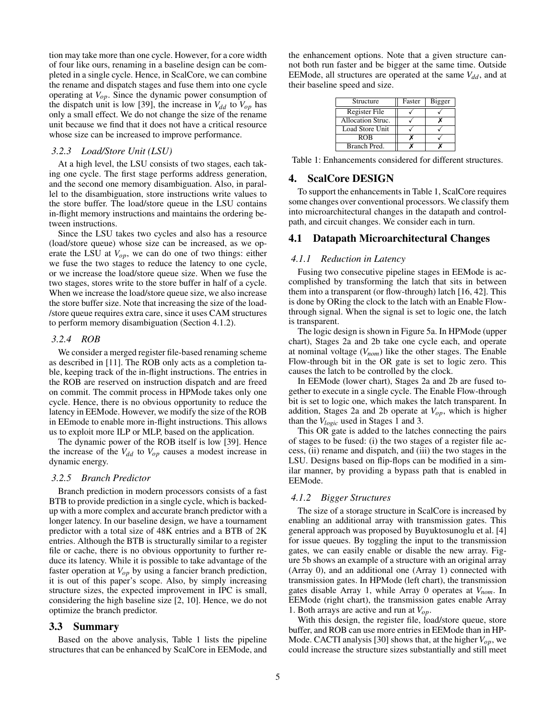tion may take more than one cycle. However, for a core width of four like ours, renaming in a baseline design can be completed in a single cycle. Hence, in ScalCore, we can combine the rename and dispatch stages and fuse them into one cycle operating at *Vop*. Since the dynamic power consumption of the dispatch unit is low [39], the increase in  $V_{dd}$  to  $V_{op}$  has only a small effect. We do not change the size of the rename unit because we find that it does not have a critical resource whose size can be increased to improve performance.

#### *3.2.3 Load/Store Unit (LSU)*

At a high level, the LSU consists of two stages, each taking one cycle. The first stage performs address generation, and the second one memory disambiguation. Also, in parallel to the disambiguation, store instructions write values to the store buffer. The load/store queue in the LSU contains in-flight memory instructions and maintains the ordering between instructions.

Since the LSU takes two cycles and also has a resource (load/store queue) whose size can be increased, as we operate the LSU at *Vop*, we can do one of two things: either we fuse the two stages to reduce the latency to one cycle, or we increase the load/store queue size. When we fuse the two stages, stores write to the store buffer in half of a cycle. When we increase the load/store queue size, we also increase the store buffer size. Note that increasing the size of the load- /store queue requires extra care, since it uses CAM structures to perform memory disambiguation (Section 4.1.2).

#### *3.2.4 ROB*

We consider a merged register file-based renaming scheme as described in [11]. The ROB only acts as a completion table, keeping track of the in-flight instructions. The entries in the ROB are reserved on instruction dispatch and are freed on commit. The commit process in HPMode takes only one cycle. Hence, there is no obvious opportunity to reduce the latency in EEMode. However, we modify the size of the ROB in EEmode to enable more in-flight instructions. This allows us to exploit more ILP or MLP, based on the application.

The dynamic power of the ROB itself is low [39]. Hence the increase of the  $V_{dd}$  to  $V_{op}$  causes a modest increase in dynamic energy.

#### *3.2.5 Branch Predictor*

Branch prediction in modern processors consists of a fast BTB to provide prediction in a single cycle, which is backedup with a more complex and accurate branch predictor with a longer latency. In our baseline design, we have a tournament predictor with a total size of 48K entries and a BTB of 2K entries. Although the BTB is structurally similar to a register file or cache, there is no obvious opportunity to further reduce its latency. While it is possible to take advantage of the faster operation at *Vop* by using a fancier branch prediction, it is out of this paper's scope. Also, by simply increasing structure sizes, the expected improvement in IPC is small, considering the high baseline size [2, 10]. Hence, we do not optimize the branch predictor.

# 3.3 Summary

Based on the above analysis, Table 1 lists the pipeline structures that can be enhanced by ScalCore in EEMode, and the enhancement options. Note that a given structure cannot both run faster and be bigger at the same time. Outside EEMode, all structures are operated at the same *Vdd*, and at their baseline speed and size.

| Structure         | Faster | Bigger |
|-------------------|--------|--------|
| Register File     |        |        |
| Allocation Struc. |        |        |
| Load Store Unit   |        |        |
| <b>ROB</b>        |        |        |
| Branch Pred.      |        |        |
|                   |        |        |

Table 1: Enhancements considered for different structures.

## 4. ScalCore DESIGN

To support the enhancements in Table 1, ScalCore requires some changes over conventional processors. We classify them into microarchitectural changes in the datapath and controlpath, and circuit changes. We consider each in turn.

# 4.1 Datapath Microarchitectural Changes

#### *4.1.1 Reduction in Latency*

Fusing two consecutive pipeline stages in EEMode is accomplished by transforming the latch that sits in between them into a transparent (or flow-through) latch [16, 42]. This is done by ORing the clock to the latch with an Enable Flowthrough signal. When the signal is set to logic one, the latch is transparent.

The logic design is shown in Figure 5a. In HPMode (upper chart), Stages 2a and 2b take one cycle each, and operate at nominal voltage (*Vnom*) like the other stages. The Enable Flow-through bit in the OR gate is set to logic zero. This causes the latch to be controlled by the clock.

In EEMode (lower chart), Stages 2a and 2b are fused together to execute in a single cycle. The Enable Flow-through bit is set to logic one, which makes the latch transparent. In addition, Stages 2a and 2b operate at *Vop*, which is higher than the *Vlogic* used in Stages 1 and 3.

This OR gate is added to the latches connecting the pairs of stages to be fused: (i) the two stages of a register file access, (ii) rename and dispatch, and (iii) the two stages in the LSU. Designs based on flip-flops can be modified in a similar manner, by providing a bypass path that is enabled in EEMode.

#### *4.1.2 Bigger Structures*

The size of a storage structure in ScalCore is increased by enabling an additional array with transmission gates. This general approach was proposed by Buyuktosunoglu et al. [4] for issue queues. By toggling the input to the transmission gates, we can easily enable or disable the new array. Figure 5b shows an example of a structure with an original array (Array 0), and an additional one (Array 1) connected with transmission gates. In HPMode (left chart), the transmission gates disable Array 1, while Array 0 operates at *Vnom*. In EEMode (right chart), the transmission gates enable Array 1. Both arrays are active and run at *Vop*.

With this design, the register file, load/store queue, store buffer, and ROB can use more entries in EEMode than in HP-Mode. CACTI analysis [30] shows that, at the higher *Vop*, we could increase the structure sizes substantially and still meet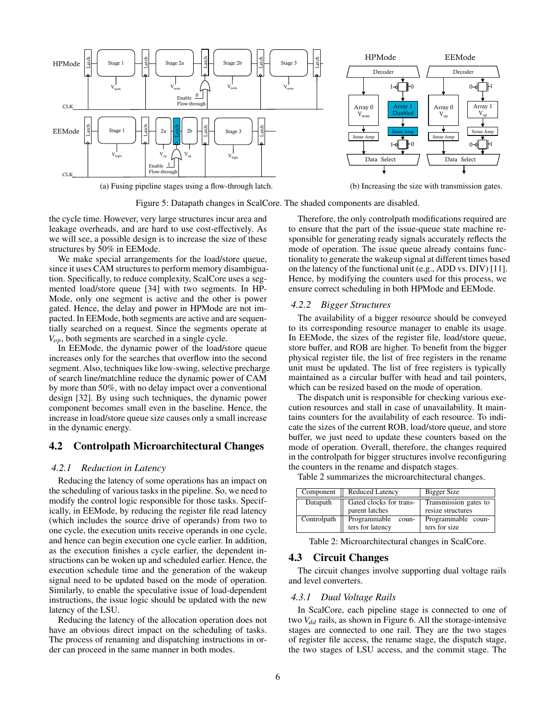

(a) Fusing pipeline stages using a flow-through latch.

(b) Increasing the size with transmission gates.

Figure 5: Datapath changes in ScalCore. The shaded components are disabled.

the cycle time. However, very large structures incur area and leakage overheads, and are hard to use cost-effectively. As we will see, a possible design is to increase the size of these structures by 50% in EEMode.

We make special arrangements for the load/store queue, since it uses CAM structures to perform memory disambiguation. Specifically, to reduce complexity, ScalCore uses a segmented load/store queue [34] with two segments. In HP-Mode, only one segment is active and the other is power gated. Hence, the delay and power in HPMode are not impacted. In EEMode, both segments are active and are sequentially searched on a request. Since the segments operate at *Vop*, both segments are searched in a single cycle.

In EEMode, the dynamic power of the load/store queue increases only for the searches that overflow into the second segment. Also, techniques like low-swing, selective precharge of search line/matchline reduce the dynamic power of CAM by more than 50%, with no delay impact over a conventional design [32]. By using such techniques, the dynamic power component becomes small even in the baseline. Hence, the increase in load/store queue size causes only a small increase in the dynamic energy.

# 4.2 Controlpath Microarchitectural Changes

## *4.2.1 Reduction in Latency*

Reducing the latency of some operations has an impact on the scheduling of various tasks in the pipeline. So, we need to modify the control logic responsible for those tasks. Specifically, in EEMode, by reducing the register file read latency (which includes the source drive of operands) from two to one cycle, the execution units receive operands in one cycle, and hence can begin execution one cycle earlier. In addition, as the execution finishes a cycle earlier, the dependent instructions can be woken up and scheduled earlier. Hence, the execution schedule time and the generation of the wakeup signal need to be updated based on the mode of operation. Similarly, to enable the speculative issue of load-dependent instructions, the issue logic should be updated with the new latency of the LSU.

Reducing the latency of the allocation operation does not have an obvious direct impact on the scheduling of tasks. The process of renaming and dispatching instructions in order can proceed in the same manner in both modes.

Therefore, the only controlpath modifications required are to ensure that the part of the issue-queue state machine responsible for generating ready signals accurately reflects the mode of operation. The issue queue already contains functionality to generate the wakeup signal at different times based on the latency of the functional unit (e.g., ADD vs. DIV) [11]. Hence, by modifying the counters used for this process, we ensure correct scheduling in both HPMode and EEMode.

#### *4.2.2 Bigger Structures*

The availability of a bigger resource should be conveyed to its corresponding resource manager to enable its usage. In EEMode, the sizes of the register file, load/store queue, store buffer, and ROB are higher. To benefit from the bigger physical register file, the list of free registers in the rename unit must be updated. The list of free registers is typically maintained as a circular buffer with head and tail pointers, which can be resized based on the mode of operation.

The dispatch unit is responsible for checking various execution resources and stall in case of unavailability. It maintains counters for the availability of each resource. To indicate the sizes of the current ROB, load/store queue, and store buffer, we just need to update these counters based on the mode of operation. Overall, therefore, the changes required in the controlpath for bigger structures involve reconfiguring the counters in the rename and dispatch stages.

Table 2 summarizes the microarchitectural changes.

| Component   | <b>Reduced Latency</b>                    | Bigger Size                                |
|-------------|-------------------------------------------|--------------------------------------------|
| Datapath    | Gated clocks for trans-<br>parent latches | Transmission gates to<br>resize structures |
| Controlpath | Programmable<br>coun-<br>ters for latency | Programmable coun-<br>ters for size        |

Table 2: Microarchitectural changes in ScalCore.

# 4.3 Circuit Changes

The circuit changes involve supporting dual voltage rails and level converters.

#### *4.3.1 Dual Voltage Rails*

In ScalCore, each pipeline stage is connected to one of two *Vdd* rails, as shown in Figure 6. All the storage-intensive stages are connected to one rail. They are the two stages of register file access, the rename stage, the dispatch stage, the two stages of LSU access, and the commit stage. The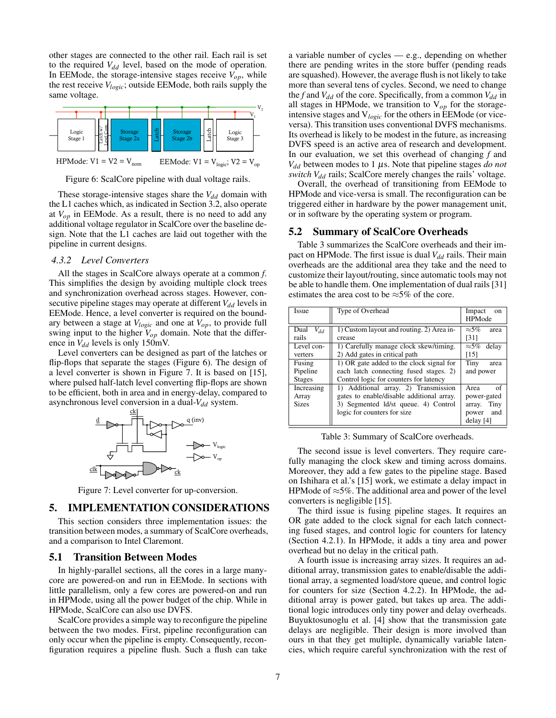other stages are connected to the other rail. Each rail is set to the required *Vdd* level, based on the mode of operation. In EEMode, the storage-intensive stages receive *Vop*, while the rest receive *Vlogic*; outside EEMode, both rails supply the same voltage.



Figure 6: ScalCore pipeline with dual voltage rails.

These storage-intensive stages share the  $V_{dd}$  domain with the L1 caches which, as indicated in Section 3.2, also operate at *Vop* in EEMode. As a result, there is no need to add any additional voltage regulator in ScalCore over the baseline design. Note that the L1 caches are laid out together with the pipeline in current designs.

#### *4.3.2 Level Converters*

All the stages in ScalCore always operate at a common *f*. This simplifies the design by avoiding multiple clock trees and synchronization overhead across stages. However, consecutive pipeline stages may operate at different *Vdd* levels in EEMode. Hence, a level converter is required on the boundary between a stage at *Vlogic* and one at *Vop*, to provide full swing input to the higher  $V_{op}$  domain. Note that the difference in  $V_{dd}$  levels is only 150mV.

Level converters can be designed as part of the latches or flip-flops that separate the stages (Figure 6). The design of a level converter is shown in Figure 7. It is based on [15], where pulsed half-latch level converting flip-flops are shown to be efficient, both in area and in energy-delay, compared to asynchronous level conversion in a dual-*Vdd* system.



Figure 7: Level converter for up-conversion.

## 5. IMPLEMENTATION CONSIDERATIONS

This section considers three implementation issues: the transition between modes, a summary of ScalCore overheads, and a comparison to Intel Claremont.

## 5.1 Transition Between Modes

In highly-parallel sections, all the cores in a large manycore are powered-on and run in EEMode. In sections with little parallelism, only a few cores are powered-on and run in HPMode, using all the power budget of the chip. While in HPMode, ScalCore can also use DVFS.

ScalCore provides a simple way to reconfigure the pipeline between the two modes. First, pipeline reconfiguration can only occur when the pipeline is empty. Consequently, reconfiguration requires a pipeline flush. Such a flush can take a variable number of cycles — e.g., depending on whether there are pending writes in the store buffer (pending reads are squashed). However, the average flush is not likely to take more than several tens of cycles. Second, we need to change the *f* and  $V_{dd}$  of the core. Specifically, from a common  $V_{dd}$  in all stages in HPMode, we transition to V*op* for the storageintensive stages and V*logic* for the others in EEMode (or viceversa). This transition uses conventional DVFS mechanisms. Its overhead is likely to be modest in the future, as increasing DVFS speed is an active area of research and development. In our evaluation, we set this overhead of changing *f* and *Vdd* between modes to 1 µs. Note that pipeline stages *do not switch Vdd* rails; ScalCore merely changes the rails' voltage.

Overall, the overhead of transitioning from EEMode to HPMode and vice-versa is small. The reconfiguration can be triggered either in hardware by the power management unit, or in software by the operating system or program.

# 5.2 Summary of ScalCore Overheads

Table 3 summarizes the ScalCore overheads and their impact on HPMode. The first issue is dual  $V_{dd}$  rails. Their main overheads are the additional area they take and the need to customize their layout/routing, since automatic tools may not be able to handle them. One implementation of dual rails [31] estimates the area cost to be  $\approx$ 5% of the core.

| <b>Issue</b>     | Type of Overhead                          | Impact<br>on            |
|------------------|-------------------------------------------|-------------------------|
|                  |                                           | <b>HPMode</b>           |
| Dual<br>$V_{dd}$ | 1) Custom layout and routing. 2) Area in- | $\approx 5\%$<br>area   |
| rails            | crease                                    | [31]                    |
| Level con-       | 1) Carefully manage clock skew/timing.    | ${\approx}5\%$<br>delay |
| verters          | 2) Add gates in critical path             | [15]                    |
| Fusing           | 1) OR gate added to the clock signal for  | Tiny<br>area            |
| Pipeline         | each latch connecting fused stages. 2)    | and power               |
| <b>Stages</b>    | Control logic for counters for latency    |                         |
| Increasing       | 1) Additional array. 2) Transmission      | of<br>Area              |
| Array            | gates to enable/disable additional array. | power-gated             |
| <b>Sizes</b>     | 3) Segmented ld/st queue. 4) Control      | Tiny<br>array.          |
|                  | logic for counters for size               | and<br>power            |
|                  |                                           | delay [4]               |

Table 3: Summary of ScalCore overheads.

The second issue is level converters. They require carefully managing the clock skew and timing across domains. Moreover, they add a few gates to the pipeline stage. Based on Ishihara et al.'s [15] work, we estimate a delay impact in HPMode of  $\approx$ 5%. The additional area and power of the level converters is negligible [15].

The third issue is fusing pipeline stages. It requires an OR gate added to the clock signal for each latch connecting fused stages, and control logic for counters for latency (Section 4.2.1). In HPMode, it adds a tiny area and power overhead but no delay in the critical path.

A fourth issue is increasing array sizes. It requires an additional array, transmission gates to enable/disable the additional array, a segmented load/store queue, and control logic for counters for size (Section 4.2.2). In HPMode, the additional array is power gated, but takes up area. The additional logic introduces only tiny power and delay overheads. Buyuktosunoglu et al. [4] show that the transmission gate delays are negligible. Their design is more involved than ours in that they get multiple, dynamically variable latencies, which require careful synchronization with the rest of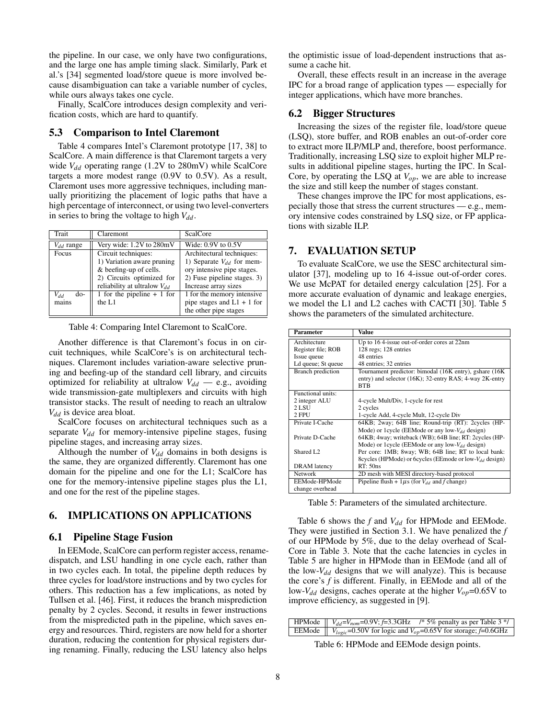the pipeline. In our case, we only have two configurations, and the large one has ample timing slack. Similarly, Park et al.'s [34] segmented load/store queue is more involved because disambiguation can take a variable number of cycles, while ours always takes one cycle.

Finally, ScalCore introduces design complexity and verification costs, which are hard to quantify.

## 5.3 Comparison to Intel Claremont

Table 4 compares Intel's Claremont prototype [17, 38] to ScalCore. A main difference is that Claremont targets a very wide *Vdd* operating range (1.2V to 280mV) while ScalCore targets a more modest range (0.9V to 0.5V). As a result, Claremont uses more aggressive techniques, including manually prioritizing the placement of logic paths that have a high percentage of interconnect, or using two level-converters in series to bring the voltage to high *Vdd*.

| Trait           | Claremont                        | ScalCore                      |
|-----------------|----------------------------------|-------------------------------|
| $V_{dd}$ range  | Very wide: 1.2V to 280mV         | Wide: $0.9V$ to $0.5V$        |
| Focus           | Circuit techniques:              | Architectural techniques:     |
|                 | 1) Variation aware pruning       | 1) Separate $V_{dd}$ for mem- |
|                 | & beefing-up of cells.           | ory intensive pipe stages.    |
|                 | 2) Circuits optimized for        | 2) Fuse pipeline stages. 3)   |
|                 | reliability at ultralow $V_{dd}$ | Increase array sizes          |
| do-<br>$V_{dd}$ | 1 for the pipeline $+1$ for      | 1 for the memory intensive    |
| mains           | the L1                           | pipe stages and $L1 + 1$ for  |
|                 |                                  | the other pipe stages         |

Table 4: Comparing Intel Claremont to ScalCore.

Another difference is that Claremont's focus in on circuit techniques, while ScalCore's is on architectural techniques. Claremont includes variation-aware selective pruning and beefing-up of the standard cell library, and circuits optimized for reliability at ultralow  $V_{dd}$  — e.g., avoiding wide transmission-gate multiplexers and circuits with high transistor stacks. The result of needing to reach an ultralow *Vdd* is device area bloat.

ScalCore focuses on architectural techniques such as a separate *Vdd* for memory-intensive pipeline stages, fusing pipeline stages, and increasing array sizes.

Although the number of  $V_{dd}$  domains in both designs is the same, they are organized differently. Claremont has one domain for the pipeline and one for the L1; ScalCore has one for the memory-intensive pipeline stages plus the L1, and one for the rest of the pipeline stages.

# 6. IMPLICATIONS ON APPLICATIONS

## 6.1 Pipeline Stage Fusion

In EEMode, ScalCore can perform register access, renamedispatch, and LSU handling in one cycle each, rather than in two cycles each. In total, the pipeline depth reduces by three cycles for load/store instructions and by two cycles for others. This reduction has a few implications, as noted by Tullsen et al. [46]. First, it reduces the branch misprediction penalty by 2 cycles. Second, it results in fewer instructions from the mispredicted path in the pipeline, which saves energy and resources. Third, registers are now held for a shorter duration, reducing the contention for physical registers during renaming. Finally, reducing the LSU latency also helps

the optimistic issue of load-dependent instructions that assume a cache hit.

Overall, these effects result in an increase in the average IPC for a broad range of application types — especially for integer applications, which have more branches.

## 6.2 Bigger Structures

Increasing the sizes of the register file, load/store queue (LSQ), store buffer, and ROB enables an out-of-order core to extract more ILP/MLP and, therefore, boost performance. Traditionally, increasing LSQ size to exploit higher MLP results in additional pipeline stages, hurting the IPC. In Scal-Core, by operating the LSQ at *Vop*, we are able to increase the size and still keep the number of stages constant.

These changes improve the IPC for most applications, especially those that stress the current structures — e.g., memory intensive codes constrained by LSQ size, or FP applications with sizable ILP.

## 7. EVALUATION SETUP

To evaluate ScalCore, we use the SESC architectural simulator [37], modeling up to 16 4-issue out-of-order cores. We use McPAT for detailed energy calculation [25]. For a more accurate evaluation of dynamic and leakage energies, we model the L1 and L2 caches with CACTI [30]. Table 5 shows the parameters of the simulated architecture.

| Parameter                        | Value                                                                                                                            |
|----------------------------------|----------------------------------------------------------------------------------------------------------------------------------|
| Architecture                     | Up to 16 4-issue out-of-order cores at 22nm                                                                                      |
| Register file; ROB               | 128 regs; 128 entries                                                                                                            |
| Issue queue                      | 48 entries                                                                                                                       |
| Ld queue; St queue               | 48 entries; 32 entries                                                                                                           |
| Branch prediction                | Tournament predictor: bimodal (16K entry), gshare (16K)<br>entry) and selector (16K); 32-entry RAS; 4-way 2K-entry<br><b>BTB</b> |
| Functional units:                |                                                                                                                                  |
| 2 integer ALU                    | 4-cycle Mult/Div, 1-cycle for rest                                                                                               |
| 2 LSU                            | 2 cycles                                                                                                                         |
| $2$ FPU                          | 1-cycle Add, 4-cycle Mult, 12-cycle Div                                                                                          |
| Private I-Cache                  | 64KB; 2way; 64B line; Round-trip (RT): 2cycles (HP-                                                                              |
|                                  | Mode) or 1 cycle (EEMode or any low- $V_{dd}$ design)                                                                            |
| Private D-Cache                  | 64KB; 4way; writeback (WB); 64B line; RT: 2cycles (HP-                                                                           |
|                                  | Mode) or 1 cycle (EEMode or any low- $V_{dd}$ design)                                                                            |
| Shared L <sub>2</sub>            | Per core: 1MB; 8way; WB; 64B line; RT to local bank:                                                                             |
|                                  | 8cycles (HPMode) or 6cycles (EEmode or low- $V_{dd}$ design)                                                                     |
| <b>DRAM</b> latency              | RT: 50ns                                                                                                                         |
| <b>Network</b>                   | 2D mesh with MESI directory-based protocol                                                                                       |
| EEMode-HPMode<br>change overhead | Pipeline flush + 1 $\mu$ s (for $V_{dd}$ and f change)                                                                           |

Table 5: Parameters of the simulated architecture.

Table 6 shows the *f* and *Vdd* for HPMode and EEMode. They were justified in Section 3.1. We have penalized the *f* of our HPMode by 5%, due to the delay overhead of Scal-Core in Table 3. Note that the cache latencies in cycles in Table 5 are higher in HPMode than in EEMode (and all of the low- $V_{dd}$  designs that we will analyze). This is because the core's *f* is different. Finally, in EEMode and all of the low- $V_{dd}$  designs, caches operate at the higher  $V_{op}$ =0.65V to improve efficiency, as suggested in [9].

| HPMode $ V_{dd} = V_{nom} = 0.9V$ ; $f = 3.3$ GHz /* 5% penalty as per Table 3 */ |
|-----------------------------------------------------------------------------------|
| EEMode   $V_{logic}$ =0.50V for logic and $V_{op}$ =0.65V for storage; f=0.6GHz   |

Table 6: HPMode and EEMode design points.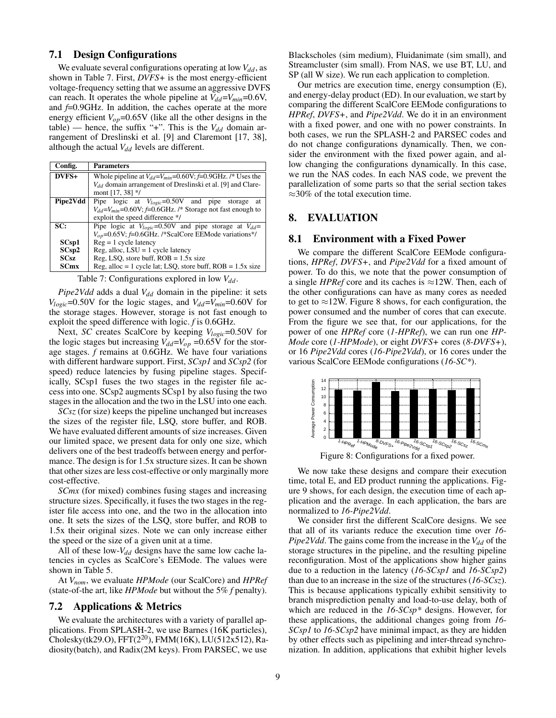## 7.1 Design Configurations

We evaluate several configurations operating at low*Vdd*, as shown in Table 7. First, *DVFS+* is the most energy-efficient voltage-frequency setting that we assume an aggressive DVFS can reach. It operates the whole pipeline at  $V_{dd} = V_{min} = 0.6$ V, and *f*=0.9GHz. In addition, the caches operate at the more energy efficient *Vop*=0.65V (like all the other designs in the table) — hence, the suffix "+". This is the  $V_{dd}$  domain arrangement of Dreslinski et al. [9] and Claremont [17, 38], although the actual  $V_{dd}$  levels are different.

| Config.     | <b>Parameters</b>                                                                      |
|-------------|----------------------------------------------------------------------------------------|
| $DVFS+$     | Whole pipeline at $V_{dd} = V_{min} = 0.60 \text{V}; f = 0.9 \text{GHz}$ . /* Uses the |
|             | $V_{dd}$ domain arrangement of Dreslinski et al. [9] and Clare-                        |
|             | mont [17, 38] */                                                                       |
| Pipe2Vdd    | Pipe logic at $V_{lopic}$ =0.50V and pipe storage at                                   |
|             | $V_{dd}$ = $V_{min}$ =0.60V; f=0.6GHz. /* Storage not fast enough to                   |
|             | exploit the speed difference */                                                        |
| SC:         | Pipe logic at $V_{logic}$ =0.50V and pipe storage at $V_{dd}$ =                        |
|             | $V_{on}$ =0.65V; $f$ =0.6GHz. /*ScalCore EEMode variations*/                           |
| SCsp1       | $Reg = 1$ cycle latency                                                                |
| SCsp2       | Reg. alloc, $LSU = 1$ cycle latency                                                    |
| <b>SCsz</b> | Reg. LSQ, store buff, $ROB = 1.5x$ size                                                |
| <b>SCmx</b> | Reg. alloc = 1 cycle lat; LSQ, store buff, $ROB = 1.5x$ size                           |

Table 7: Configurations explored in low *Vdd*.

*Pipe2Vdd* adds a dual *Vdd* domain in the pipeline: it sets  $V_{logic}$ =0.50V for the logic stages, and  $V_{dd}$ = $V_{min}$ =0.60V for the storage stages. However, storage is not fast enough to exploit the speed difference with logic. *f* is 0.6GHz.

Next, *SC* creates ScalCore by keeping  $V_{logic} = 0.50V$  for the logic stages but increasing  $V_{dd} = V_{op} = 0.65V$  for the storage stages. *f* remains at 0.6GHz. We have four variations with different hardware support. First, *SCsp1* and *SCsp2* (for speed) reduce latencies by fusing pipeline stages. Specifically, SCsp1 fuses the two stages in the register file access into one. SCsp2 augments SCsp1 by also fusing the two stages in the allocation and the two in the LSU into one each.

*SCsz* (for size) keeps the pipeline unchanged but increases the sizes of the register file, LSQ, store buffer, and ROB. We have evaluated different amounts of size increases. Given our limited space, we present data for only one size, which delivers one of the best tradeoffs between energy and performance. The design is for 1.5x structure sizes. It can be shown that other sizes are less cost-effective or only marginally more cost-effective.

*SCmx* (for mixed) combines fusing stages and increasing structure sizes. Specifically, it fuses the two stages in the register file access into one, and the two in the allocation into one. It sets the sizes of the LSQ, store buffer, and ROB to 1.5x their original sizes. Note we can only increase either the speed or the size of a given unit at a time.

All of these low-*Vdd* designs have the same low cache latencies in cycles as ScalCore's EEMode. The values were shown in Table 5.

At *Vnom*, we evaluate *HPMode* (our ScalCore) and *HPRef* (state-of-the art, like *HPMode* but without the 5% *f* penalty).

## 7.2 Applications & Metrics

We evaluate the architectures with a variety of parallel applications. From SPLASH-2, we use Barnes (16K particles),  $Cholesky(tk29.0), FFT(2^{20}), FMM(16K), LU(512x512), Ra$ diosity(batch), and Radix(2M keys). From PARSEC, we use

Blackscholes (sim medium), Fluidanimate (sim small), and Streamcluster (sim small). From NAS, we use BT, LU, and SP (all W size). We run each application to completion.

Our metrics are execution time, energy consumption (E), and energy-delay product (ED). In our evaluation, we start by comparing the different ScalCore EEMode configurations to *HPRef*, *DVFS+*, and *Pipe2Vdd*. We do it in an environment with a fixed power, and one with no power constraints. In both cases, we run the SPLASH-2 and PARSEC codes and do not change configurations dynamically. Then, we consider the environment with the fixed power again, and allow changing the configurations dynamically. In this case, we run the NAS codes. In each NAS code, we prevent the parallelization of some parts so that the serial section takes ≈30% of the total execution time.

# 8. EVALUATION

# **Environment with a Fixed Power**

We compare the different ScalCore EEMode configurations, *HPRef*, *DVFS+*, and *Pipe2Vdd* for a fixed amount of power. To do this, we note that the power consumption of a single *HPRef* core and its caches is  $\approx$ 12W. Then, each of the other configurations can have as many cores as needed to get to  $\approx$ 12W. Figure 8 shows, for each configuration, the power consumed and the number of cores that can execute. From the figure we see that, for our applications, for the power of one *HPRef* core (*1-HPRef*), we can run one *HP-Mode* core (*1-HPMode*), or eight *DVFS+* cores (*8-DVFS+*), or 16 *Pipe2Vdd* cores (*16-Pipe2Vdd*), or 16 cores under the various ScalCore EEMode configurations (*16-SC\**).



We now take these designs and compare their execution time, total E, and ED product running the applications. Figure 9 shows, for each design, the execution time of each application and the average. In each application, the bars are normalized to *16-Pipe2Vdd*.

We consider first the different ScalCore designs. We see that all of its variants reduce the execution time over *16- Pipe2Vdd*. The gains come from the increase in the*Vdd* of the storage structures in the pipeline, and the resulting pipeline reconfiguration. Most of the applications show higher gains due to a reduction in the latency (*16-SCsp1* and *16-SCsp2*) than due to an increase in the size of the structures (*16-SCsz*). This is because applications typically exhibit sensitivity to branch misprediction penalty and load-to-use delay, both of which are reduced in the *16-SCsp\** designs. However, for these applications, the additional changes going from *16- SCsp1* to *16-SCsp2* have minimal impact, as they are hidden by other effects such as pipelining and inter-thread synchronization. In addition, applications that exhibit higher levels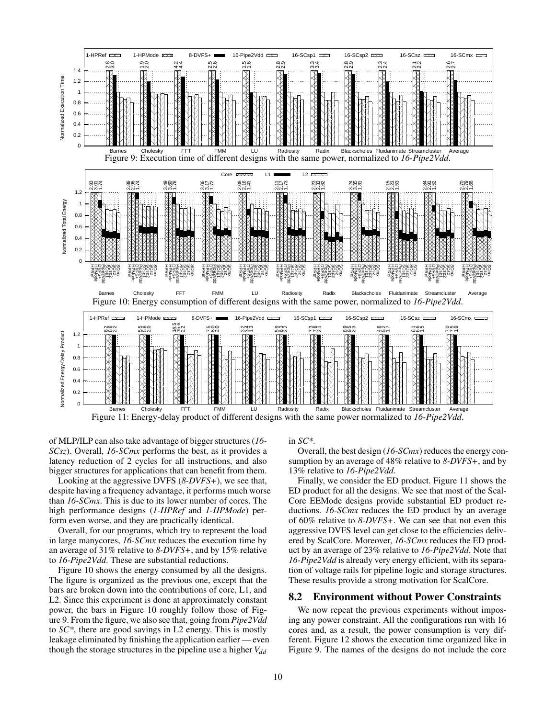

Figure 11: Energy-delay product of different designs with the same power normalized to *16-Pipe2Vdd*.

of MLP/ILP can also take advantage of bigger structures (*16- SCsz*). Overall, *16-SCmx* performs the best, as it provides a latency reduction of 2 cycles for all instructions, and also bigger structures for applications that can benefit from them.

Looking at the aggressive DVFS (*8-DVFS+*), we see that, despite having a frequency advantage, it performs much worse than *16-SCmx*. This is due to its lower number of cores. The high performance designs (*1-HPRef* and *1-HPMode*) perform even worse, and they are practically identical.

Overall, for our programs, which try to represent the load in large manycores, *16-SCmx* reduces the execution time by an average of 31% relative to *8-DVFS+*, and by 15% relative to *16-Pipe2Vdd*. These are substantial reductions.

Figure 10 shows the energy consumed by all the designs. The figure is organized as the previous one, except that the bars are broken down into the contributions of core, L1, and L2. Since this experiment is done at approximately constant power, the bars in Figure 10 roughly follow those of Figure 9. From the figure, we also see that, going from *Pipe2Vdd* to *SC\**, there are good savings in L2 energy. This is mostly leakage eliminated by finishing the application earlier — even though the storage structures in the pipeline use a higher *Vdd*

in *SC\**.

Overall, the best design (*16-SCmx*) reduces the energy consumption by an average of 48% relative to *8-DVFS+*, and by 13% relative to *16-Pipe2Vdd*.

Finally, we consider the ED product. Figure 11 shows the ED product for all the designs. We see that most of the Scal-Core EEMode designs provide substantial ED product reductions. *16-SCmx* reduces the ED product by an average of 60% relative to *8-DVFS+*. We can see that not even this aggressive DVFS level can get close to the efficiencies delivered by ScalCore. Moreover, *16-SCmx* reduces the ED product by an average of 23% relative to *16-Pipe2Vdd*. Note that *16-Pipe2Vdd* is already very energy efficient, with its separation of voltage rails for pipeline logic and storage structures. These results provide a strong motivation for ScalCore.

## 8.2 Environment without Power Constraints

We now repeat the previous experiments without imposing any power constraint. All the configurations run with 16 cores and, as a result, the power consumption is very different. Figure 12 shows the execution time organized like in Figure 9. The names of the designs do not include the core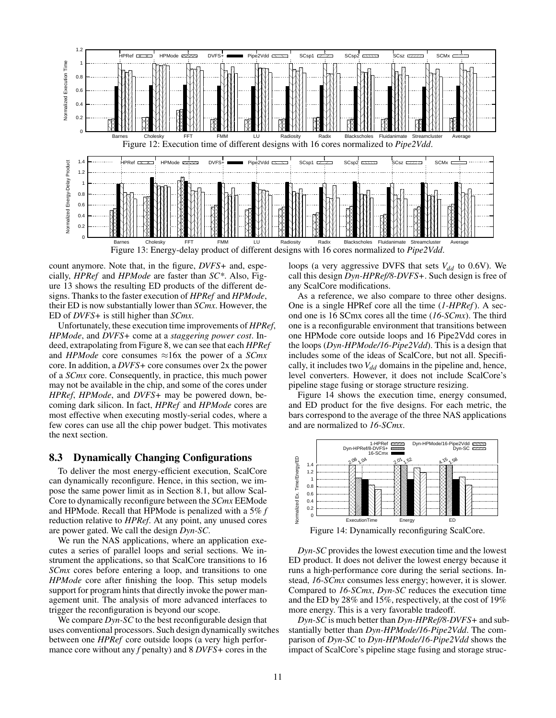

count anymore. Note that, in the figure, *DVFS+* and, especially, *HPRef* and *HPMode* are faster than *SC\**. Also, Figure 13 shows the resulting ED products of the different designs. Thanks to the faster execution of *HPRef* and *HPMode*, their ED is now substantially lower than *SCmx*. However, the ED of *DVFS+* is still higher than *SCmx*.

Unfortunately, these execution time improvements of *HPRef*, *HPMode*, and *DVFS+* come at a *staggering power cost*. Indeed, extrapolating from Figure 8, we can see that each *HPRef* and *HPMode* core consumes ≈16x the power of a *SCmx* core. In addition, a *DVFS+* core consumes over 2x the power of a *SCmx* core. Consequently, in practice, this much power may not be available in the chip, and some of the cores under *HPRef*, *HPMode*, and *DVFS+* may be powered down, becoming dark silicon. In fact, *HPRef* and *HPMode* cores are most effective when executing mostly-serial codes, where a few cores can use all the chip power budget. This motivates the next section.

# 8.3 Dynamically Changing Configurations

To deliver the most energy-efficient execution, ScalCore can dynamically reconfigure. Hence, in this section, we impose the same power limit as in Section 8.1, but allow Scal-Core to dynamically reconfigure between the *SCmx* EEMode and HPMode. Recall that HPMode is penalized with a 5% *f* reduction relative to *HPRef*. At any point, any unused cores are power gated. We call the design *Dyn-SC*.

We run the NAS applications, where an application executes a series of parallel loops and serial sections. We instrument the applications, so that ScalCore transitions to 16 *SCmx* cores before entering a loop, and transitions to one *HPMode* core after finishing the loop. This setup models support for program hints that directly invoke the power management unit. The analysis of more advanced interfaces to trigger the reconfiguration is beyond our scope.

We compare *Dyn-SC* to the best reconfigurable design that uses conventional processors. Such design dynamically switches between one *HPRef* core outside loops (a very high performance core without any *f* penalty) and 8 *DVFS+* cores in the

loops (a very aggressive DVFS that sets  $V_{dd}$  to 0.6V). We call this design *Dyn-HPRef/8-DVFS+*. Such design is free of any ScalCore modifications.

As a reference, we also compare to three other designs. One is a single HPRef core all the time (*1-HPRef*). A second one is 16 SCmx cores all the time (*16-SCmx*). The third one is a reconfigurable environment that transitions between one HPMode core outside loops and 16 Pipe2Vdd cores in the loops (*Dyn-HPMode/16-Pipe2Vdd*). This is a design that includes some of the ideas of ScalCore, but not all. Specifically, it includes two  $V_{dd}$  domains in the pipeline and, hence, level converters. However, it does not include ScalCore's pipeline stage fusing or storage structure resizing.

Figure 14 shows the execution time, energy consumed, and ED product for the five designs. For each metric, the bars correspond to the average of the three NAS applications and are normalized to *16-SCmx*.



Figure 14: Dynamically reconfiguring ScalCore.

*Dyn-SC* provides the lowest execution time and the lowest ED product. It does not deliver the lowest energy because it runs a high-performance core during the serial sections. Instead, *16-SCmx* consumes less energy; however, it is slower. Compared to *16-SCmx*, *Dyn-SC* reduces the execution time and the ED by 28% and 15%, respectively, at the cost of 19% more energy. This is a very favorable tradeoff.

*Dyn-SC* is much better than *Dyn-HPRef/8-DVFS+* and substantially better than *Dyn-HPMode/16-Pipe2Vdd*. The comparison of *Dyn-SC* to *Dyn-HPMode/16-Pipe2Vdd* shows the impact of ScalCore's pipeline stage fusing and storage struc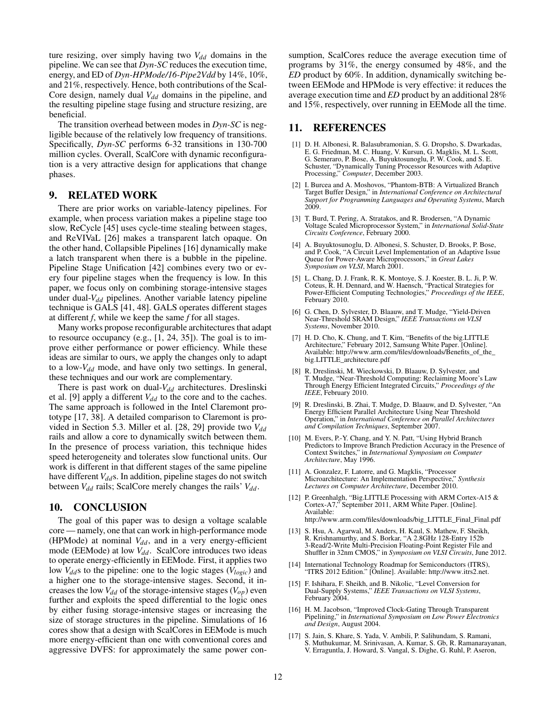ture resizing, over simply having two *Vdd* domains in the pipeline. We can see that *Dyn-SC* reduces the execution time, energy, and ED of *Dyn-HPMode/16-Pipe2Vdd* by 14%, 10%, and 21%, respectively. Hence, both contributions of the Scal-Core design, namely dual *V*<sup>*dd*</sup> domains in the pipeline, and the resulting pipeline stage fusing and structure resizing, are beneficial.

The transition overhead between modes in *Dyn-SC* is negligible because of the relatively low frequency of transitions. Specifically, *Dyn-SC* performs 6-32 transitions in 130-700 million cycles. Overall, ScalCore with dynamic reconfiguration is a very attractive design for applications that change phases.

# 9. RELATED WORK

There are prior works on variable-latency pipelines. For example, when process variation makes a pipeline stage too slow, ReCycle [45] uses cycle-time stealing between stages, and ReVIVaL [26] makes a transparent latch opaque. On the other hand, Collapsible Pipelines [16] dynamically make a latch transparent when there is a bubble in the pipeline. Pipeline Stage Unification [42] combines every two or every four pipeline stages when the frequency is low. In this paper, we focus only on combining storage-intensive stages under dual-*Vdd* pipelines. Another variable latency pipeline technique is GALS [41, 48]. GALS operates different stages at different *f*, while we keep the same *f* for all stages.

Many works propose reconfigurable architectures that adapt to resource occupancy (e.g., [1, 24, 35]). The goal is to improve either performance or power efficiency. While these ideas are similar to ours, we apply the changes only to adapt to a low-*Vdd* mode, and have only two settings. In general, these techniques and our work are complementary.

There is past work on dual-*Vdd* architectures. Dreslinski et al. [9] apply a different *Vdd* to the core and to the caches. The same approach is followed in the Intel Claremont prototype [17, 38]. A detailed comparison to Claremont is provided in Section 5.3. Miller et al. [28, 29] provide two *Vdd* rails and allow a core to dynamically switch between them. In the presence of process variation, this technique hides speed heterogeneity and tolerates slow functional units. Our work is different in that different stages of the same pipeline have different *V<sub>dd</sub>s*. In addition, pipeline stages do not switch between *Vdd* rails; ScalCore merely changes the rails' *Vdd*.

# 10. CONCLUSION

The goal of this paper was to design a voltage scalable core — namely, one that can work in high-performance mode (HPMode) at nominal  $V_{dd}$ , and in a very energy-efficient mode (EEMode) at low *Vdd*. ScalCore introduces two ideas to operate energy-efficiently in EEMode. First, it applies two low  $V_{dd}$ s to the pipeline: one to the logic stages ( $V_{logic}$ ) and a higher one to the storage-intensive stages. Second, it increases the low  $V_{dd}$  of the storage-intensive stages ( $V_{op}$ ) even further and exploits the speed differential to the logic ones by either fusing storage-intensive stages or increasing the size of storage structures in the pipeline. Simulations of 16 cores show that a design with ScalCores in EEMode is much more energy-efficient than one with conventional cores and aggressive DVFS: for approximately the same power consumption, ScalCores reduce the average execution time of programs by 31%, the energy consumed by 48%, and the *ED* product by 60%. In addition, dynamically switching between EEMode and HPMode is very effective: it reduces the average execution time and *ED* product by an additional 28% and 15%, respectively, over running in EEMode all the time.

# 11. REFERENCES

- [1] D. H. Albonesi, R. Balasubramonian, S. G. Dropsho, S. Dwarkadas, E. G. Friedman, M. C. Huang, V. Kursun, G. Magklis, M. L. Scott, G. Semeraro, P. Bose, A. Buyuktosunoglu, P. W. Cook, and S. E. Schuster, "Dynamically Tuning Processor Resources with Adaptive Processing," *Computer*, December 2003.
- [2] I. Burcea and A. Moshovos, "Phantom-BTB: A Virtualized Branch Target Buffer Design," in *International Conference on Architectural Support for Programming Languages and Operating Systems*, March 2009.
- [3] T. Burd, T. Pering, A. Stratakos, and R. Brodersen, "A Dynamic Voltage Scaled Microprocessor System," in *International Solid-State Circuits Conference*, February 2000.
- [4] A. Buyuktosunoglu, D. Albonesi, S. Schuster, D. Brooks, P. Bose, and P. Cook, "A Circuit Level Implementation of an Adaptive Issue Queue for Power-Aware Microprocessors," in *Great Lakes Symposium on VLSI*, March 2001.
- [5] L. Chang, D. J. Frank, R. K. Montoye, S. J. Koester, B. L. Ji, P. W. Coteus, R. H. Dennard, and W. Haensch, "Practical Strategies for Power-Efficient Computing Technologies," *Proceedings of the IEEE*, February 2010.
- [6] G. Chen, D. Sylvester, D. Blaauw, and T. Mudge, "Yield-Driven Near-Threshold SRAM Design," *IEEE Transactions on VLSI Systems*, November 2010.
- [7] H. D. Cho, K. Chung, and T. Kim, "Benefits of the big.LITTLE Architecture," February 2012, Samsung White Paper. [Online]. Available: http://www.arm.com/files/downloads/Benefits\_of\_the\_ big.LITTLE\_architecture.pdf
- [8] R. Dreslinski, M. Wieckowski, D. Blaauw, D. Sylvester, and T. Mudge, "Near-Threshold Computing: Reclaiming Moore's Law Through Energy Efficient Integrated Circuits," *Proceedings of the IEEE*, February 2010.
- [9] R. Dreslinski, B. Zhai, T. Mudge, D. Blaauw, and D. Sylvester, "An Energy Efficient Parallel Architecture Using Near Threshold Operation," in *International Conference on Parallel Architectures and Compilation Techniques*, September 2007.
- [10] M. Evers, P.-Y. Chang, and Y. N. Patt, "Using Hybrid Branch Predictors to Improve Branch Prediction Accuracy in the Presence of Context Switches," in *International Symposium on Computer Architecture*, May 1996.
- [11] A. Gonzalez, F. Latorre, and G. Magklis, "Processor Microarchitecture: An Implementation Perspective," *Synthesis Lectures on Computer Architecture*, December 2010.
- [12] P. Greenhalgh, "Big.LITTLE Processing with ARM Cortex-A15 & Cortex-A7," September 2011, ARM White Paper. [Online]. Available: http://www.arm.com/files/downloads/big\_LITTLE\_Final\_Final.pdf
- [13] S. Hsu, A. Agarwal, M. Anders, H. Kaul, S. Mathew, F. Sheikh, R. Krishnamurthy, and S. Borkar, "A 2.8GHz 128-Entry 152b 3-Read/2-Write Multi-Precision Floating-Point Register File and Shuffler in 32nm CMOS," in *Symposium on VLSI Circuits*, June 2012.
- [14] International Technology Roadmap for Semiconductors (ITRS), "ITRS 2012 Edition." [Online]. Available: http://www.itrs2.net.
- [15] F. Ishihara, F. Sheikh, and B. Nikolic, "Level Conversion for Dual-Supply Systems," *IEEE Transactions on VLSI Systems*, February 2004.
- [16] H. M. Jacobson, "Improved Clock-Gating Through Transparent Pipelining," in *International Symposium on Low Power Electronics and Design*, August 2004.
- [17] S. Jain, S. Khare, S. Yada, V. Ambili, P. Salihundam, S. Ramani, S. Muthukumar, M. Srinivasan, A. Kumar, S. Gb, R. Ramanarayanan, V. Erraguntla, J. Howard, S. Vangal, S. Dighe, G. Ruhl, P. Aseron,